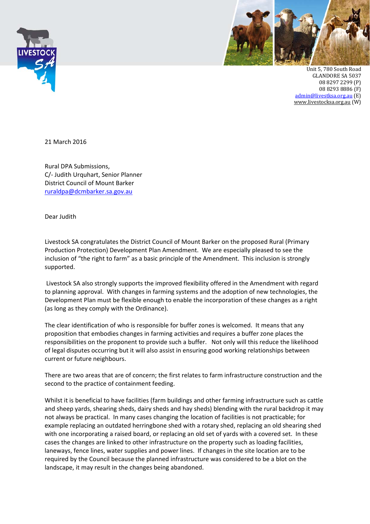

Unit 5, 780 South Road **GLANDORE SA 5037** 08 8297 2299 (P) 08 8293 8886 (F) admin@livestksa.org.au (E) www.livestocksa.org.au (W)

21 March 2016

Rural DPA Submissions, C/‐ Judith Urquhart, Senior Planner District Council of Mount Barker ruraldpa@dcmbarker.sa.gov.au

Dear Judith

Livestock SA congratulates the District Council of Mount Barker on the proposed Rural (Primary Production Protection) Development Plan Amendment. We are especially pleased to see the inclusion of "the right to farm" as a basic principle of the Amendment. This inclusion is strongly supported.

Livestock SA also strongly supports the improved flexibility offered in the Amendment with regard to planning approval. With changes in farming systems and the adoption of new technologies, the Development Plan must be flexible enough to enable the incorporation of these changes as a right (as long as they comply with the Ordinance).

The clear identification of who is responsible for buffer zones is welcomed. It means that any proposition that embodies changes in farming activities and requires a buffer zone places the responsibilities on the proponent to provide such a buffer. Not only will this reduce the likelihood of legal disputes occurring but it will also assist in ensuring good working relationships between current or future neighbours.

There are two areas that are of concern; the first relates to farm infrastructure construction and the second to the practice of containment feeding.

Whilst it is beneficial to have facilities (farm buildings and other farming infrastructure such as cattle and sheep yards, shearing sheds, dairy sheds and hay sheds) blending with the rural backdrop it may not always be practical. In many cases changing the location of facilities is not practicable; for example replacing an outdated herringbone shed with a rotary shed, replacing an old shearing shed with one incorporating a raised board, or replacing an old set of yards with a covered set. In these cases the changes are linked to other infrastructure on the property such as loading facilities, laneways, fence lines, water supplies and power lines. If changes in the site location are to be required by the Council because the planned infrastructure was considered to be a blot on the landscape, it may result in the changes being abandoned.